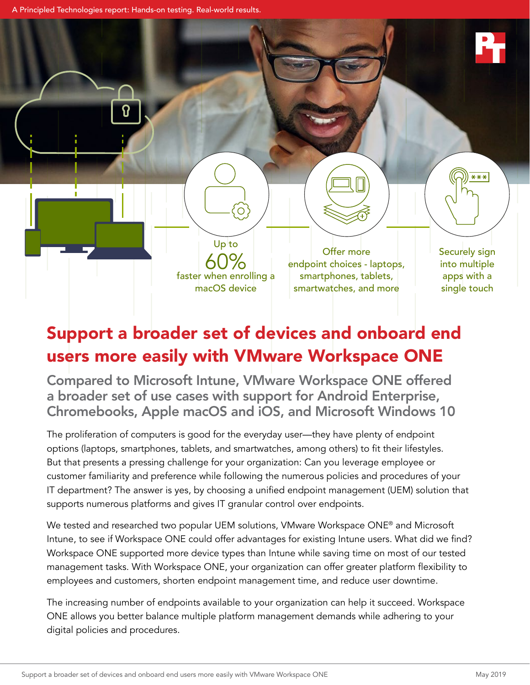A Principled Technologies report: Hands-on testing. Real-world results.

Up to faster when enrolling a macOS device

 $\circ$ 

60% Offer more<br>
endpoint choices - laptops, smartphones, tablets, smartwatches, and more

Securely sign into multiple apps with a single touch

 $***$ 

# Support a broader set of devices and onboard end users more easily with VMware Workspace ONE

Compared to Microsoft Intune, VMware Workspace ONE offered a broader set of use cases with support for Android Enterprise, Chromebooks, Apple macOS and iOS, and Microsoft Windows 10

The proliferation of computers is good for the everyday user—they have plenty of endpoint options (laptops, smartphones, tablets, and smartwatches, among others) to fit their lifestyles. But that presents a pressing challenge for your organization: Can you leverage employee or customer familiarity and preference while following the numerous policies and procedures of your IT department? The answer is yes, by choosing a unified endpoint management (UEM) solution that supports numerous platforms and gives IT granular control over endpoints.

We tested and researched two popular UEM solutions, VMware Workspace ONE<sup>®</sup> and Microsoft Intune, to see if Workspace ONE could offer advantages for existing Intune users. What did we find? Workspace ONE supported more device types than Intune while saving time on most of our tested management tasks. With Workspace ONE, your organization can offer greater platform flexibility to employees and customers, shorten endpoint management time, and reduce user downtime.

The increasing number of endpoints available to your organization can help it succeed. Workspace ONE allows you better balance multiple platform management demands while adhering to your digital policies and procedures.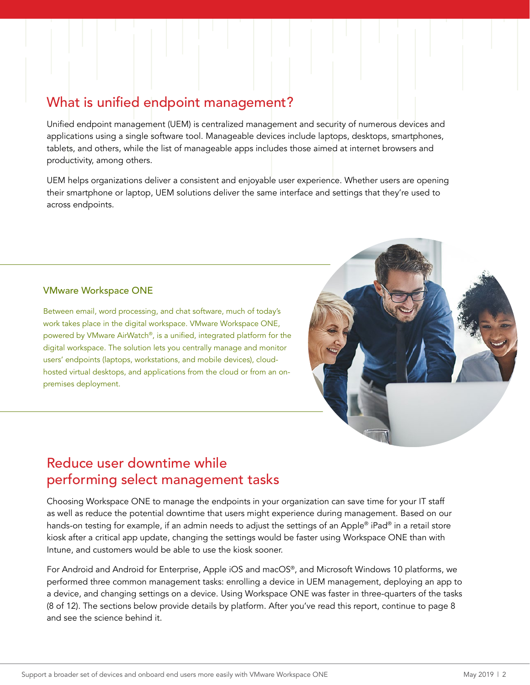## What is unified endpoint management?

Unified endpoint management (UEM) is centralized management and security of numerous devices and applications using a single software tool. Manageable devices include laptops, desktops, smartphones, tablets, and others, while the list of manageable apps includes those aimed at internet browsers and productivity, among others.

UEM helps organizations deliver a consistent and enjoyable user experience. Whether users are opening their smartphone or laptop, UEM solutions deliver the same interface and settings that they're used to across endpoints.

#### VMware Workspace ONE

Between email, word processing, and chat software, much of today's work takes place in the digital workspace. VMware Workspace ONE, powered by VMware AirWatch®, is a unified, integrated platform for the digital workspace. The solution lets you centrally manage and monitor users' endpoints (laptops, workstations, and mobile devices), cloudhosted virtual desktops, and applications from the cloud or from an onpremises deployment.



## Reduce user downtime while performing select management tasks

Choosing Workspace ONE to manage the endpoints in your organization can save time for your IT staff as well as reduce the potential downtime that users might experience during management. Based on our hands-on testing for example, if an admin needs to adjust the settings of an Apple® iPad® in a retail store kiosk after a critical app update, changing the settings would be faster using Workspace ONE than with Intune, and customers would be able to use the kiosk sooner.

For Android and Android for Enterprise, Apple iOS and macOS®, and Microsoft Windows 10 platforms, we performed three common management tasks: enrolling a device in UEM management, deploying an app to a device, and changing settings on a device. Using Workspace ONE was faster in three-quarters of the tasks (8 of 12). The sections below provide details by platform. After you've read this report, continue to page 8 and see the science behind it.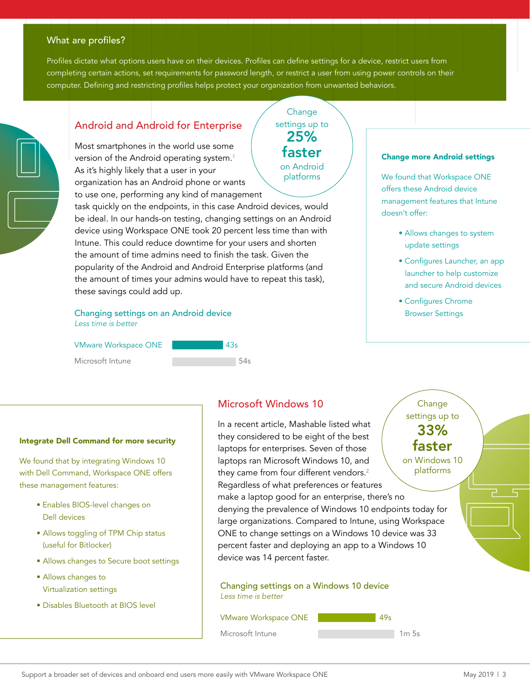### What are profiles?

Profiles dictate what options users have on their devices. Profiles can define settings for a device, restrict users from completing certain actions, set requirements for password length, or restrict a user from using power controls on their computer. Defining and restricting profiles helps protect your organization from unwanted behaviors.

> **Change** settings up to

> > 25% faster

on Android platforms



## Android and Android for Enterprise

Most smartphones in the world use some version of the Android operating system.<sup>[1](#page-6-0)</sup> As it's highly likely that a user in your organization has an Android phone or wants to use one, performing any kind of management

task quickly on the endpoints, in this case Android devices, would be ideal. In our hands-on testing, changing settings on an Android device using Workspace ONE took 20 percent less time than with Intune. This could reduce downtime for your users and shorten the amount of time admins need to finish the task. Given the popularity of the Android and Android Enterprise platforms (and the amount of times your admins would have to repeat this task), these savings could add up.

#### Changing settings on an Android device *Less time is better*

VMware Workspace ONE

Microsoft Intune

| 43s |  |
|-----|--|
|     |  |
|     |  |

#### Change more Android settings

We found that Workspace ONE offers these Android device management features that Intune doesn't offer:

- Allows changes to system update settings
- Configures Launcher, an app launcher to help customize and secure Android devices
- Configures Chrome Browser Settings

**Change** 

#### Integrate Dell Command for more security

We found that by integrating Windows 10 with Dell Command, Workspace ONE offers these management features:

- Enables BIOS-level changes on Dell devices
- Allows toggling of TPM Chip status (useful for Bitlocker)
- Allows changes to Secure boot settings
- Allows changes to Virtualization settings
- Disables Bluetooth at BIOS level

### Microsoft Windows 10

In a recent article, Mashable listed what they considered to be eight of the best laptops for enterprises. Seven of those laptops ran Microsoft Windows 10, and they came from four different vendors.<sup>[2](#page-6-1)</sup> Regardless of what preferences or features make a laptop good for an enterprise, there's no denying the prevalence of Windows 10 endpoints today for large organizations. Compared to Intune, using Workspace ONE to change settings on a Windows 10 device was 33 percent faster and deploying an app to a Windows 10 device was 14 percent faster. settings up to on Windows 10 platforms 33% faster

Changing settings on a Windows 10 device *Less time is better*

VMware Workspace ONE Microsoft Intune 49s  $1m$  5s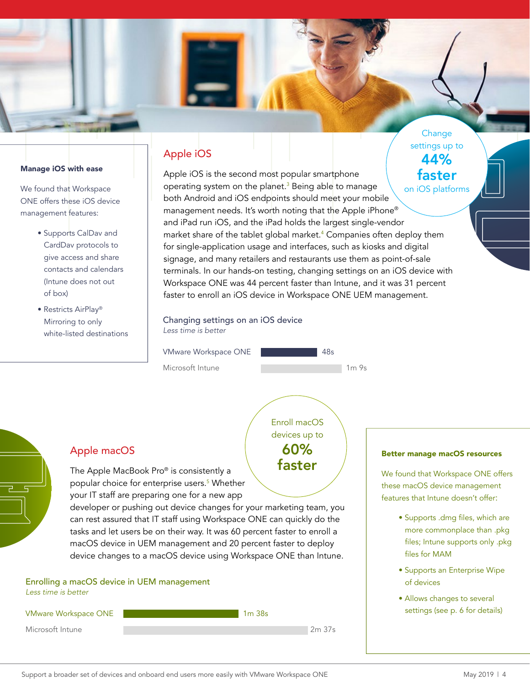

#### Manage iOS with ease

We found that Workspace ONE offers these iOS device management features:

- Supports CalDav and CardDav protocols to give access and share contacts and calendars (Intune does not out of box)
- Restricts AirPlay® Mirroring to only white-listed destinations

## Apple iOS

Apple iOS is the second most popular smartphone operating system on the planet.<sup>[3](#page-6-2)</sup> Being able to manage both Android and iOS endpoints should meet your mobile management needs. It's worth noting that the Apple iPhone® and iPad run iOS, and the iPad holds the largest single-vendor market share of the tablet global market.[4](#page-6-3) Companies often deploy them for single-application usage and interfaces, such as kiosks and digital signage, and many retailers and restaurants use them as point-of-sale terminals. In our hands-on testing, changing settings on an iOS device with Workspace ONE was 44 percent faster than Intune, and it was 31 percent faster to enroll an iOS device in Workspace ONE UEM management. on iOS platforms faster

Changing settings on an iOS device *Less time is better*

VMware Workspace ONE

Microsoft Intune



Enroll macOS devices up to 60% faster

### Apple macOS

The Apple MacBook Pro® is consistently a popular choice for enterprise users.<sup>[5](#page-6-4)</sup> Whether your IT staff are preparing one for a new app

developer or pushing out device changes for your marketing team, you can rest assured that IT staff using Workspace ONE can quickly do the tasks and let users be on their way. It was 60 percent faster to enroll a macOS device in UEM management and 20 percent faster to deploy device changes to a macOS device using Workspace ONE than Intune.

## Enrolling a macOS device in UEM management *Less time is better*



#### Better manage macOS resources

settings up to

44%

We found that Workspace ONE offers these macOS device management features that Intune doesn't offer:

- Supports .dmg files, which are more commonplace than .pkg files; Intune supports only .pkg files for MAM
- Supports an Enterprise Wipe of devices
- Allows changes to several settings (see p. 6 for details)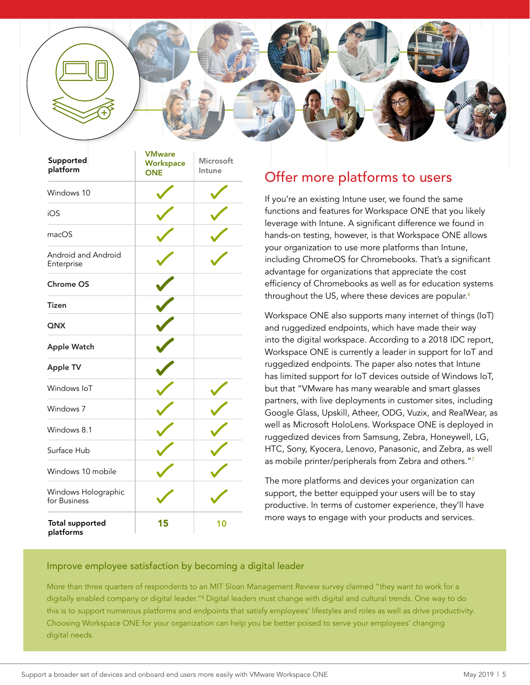

| Supported<br>platform               | <b>VMware</b><br>Workspace<br><b>ONE</b> | Microsoft<br>Intune |
|-------------------------------------|------------------------------------------|---------------------|
| Windows 10                          |                                          |                     |
| iOS                                 |                                          |                     |
| macOS                               |                                          |                     |
| Android and Android<br>Enterprise   |                                          |                     |
| <b>Chrome OS</b>                    |                                          |                     |
| Tizen                               |                                          |                     |
| QNX                                 |                                          |                     |
| <b>Apple Watch</b>                  |                                          |                     |
| <b>Apple TV</b>                     |                                          |                     |
| Windows IoT                         |                                          |                     |
| Windows 7                           |                                          |                     |
| Windows 8.1                         |                                          |                     |
| Surface Hub                         |                                          |                     |
| Windows 10 mobile                   |                                          |                     |
| Windows Holographic<br>for Business |                                          |                     |
| <b>Total supported</b><br>platforms | 15                                       | 10                  |

## Offer more platforms to users

If you're an existing Intune user, we found the same functions and features for Workspace ONE that you likely leverage with Intune. A significant difference we found in hands-on testing, however, is that Workspace ONE allows your organization to use more platforms than Intune, including ChromeOS for Chromebooks. That's a significant advantage for organizations that appreciate the cost efficiency of Chromebooks as well as for education systems throughout the US, where these devices are popular. $6$ 

Workspace ONE also supports many internet of things (IoT) and ruggedized endpoints, which have made their way into the digital workspace. According to a 2018 IDC report, Workspace ONE is currently a leader in support for IoT and ruggedized endpoints. The paper also notes that Intune has limited support for IoT devices outside of Windows IoT, but that "VMware has many wearable and smart glasses partners, with live deployments in customer sites, including Google Glass, Upskill, Atheer, ODG, Vuzix, and RealWear, as well as Microsoft HoloLens. Workspace ONE is deployed in ruggedized devices from Samsung, Zebra, Honeywell, LG, HTC, Sony, Kyocera, Lenovo, Panasonic, and Zebra, as well as mobile printer/peripherals from Zebra and others."[7](#page-6-6)

The more platforms and devices your organization can support, the better equipped your users will be to stay productive. In terms of customer experience, they'll have more ways to engage with your products and services.

### Improve employee satisfaction by becoming a digital leader

More than three quarters of respondents to an MIT Sloan Management Review survey claimed "they want to work for a digitally enabled company or digital leader."ª Digital leaders must change with digital and cultural trends. One way to do this is to support numerous platforms and endpoints that satisfy employees' lifestyles and roles as well as drive productivity. Choosing Workspace ONE for your organization can help you be better poised to serve your employees' changing digital needs.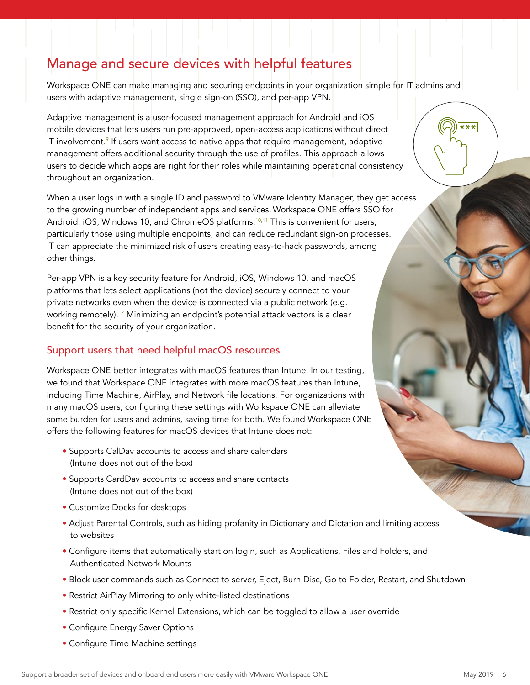## Manage and secure devices with helpful features

Workspace ONE can make managing and securing endpoints in your organization simple for IT admins and users with adaptive management, single sign-on (SSO), and per-app VPN.

Adaptive management is a user-focused management approach for Android and iOS mobile devices that lets users run pre-approved, open-access applications without direct IT involvement.<sup>[9](#page-6-8)</sup> If users want access to native apps that require management, adaptive management offers additional security through the use of profiles. This approach allows users to decide which apps are right for their roles while maintaining operational consistency throughout an organization.

When a user logs in with a single ID and password to VMware Identity Manager, they get access to the growing number of independent apps and services. Workspace ONE offers SSO for Android, iOS, Windows [10,](#page-6-9) and ChromeOS platforms.<sup>10,[11](#page-6-10)</sup> This is convenient for users, particularly those using multiple endpoints, and can reduce redundant sign-on processes. IT can appreciate the minimized risk of users creating easy-to-hack passwords, among other things.

Per-app VPN is a key security feature for Android, iOS, Windows 10, and macOS platforms that lets select applications (not the device) securely connect to your private networks even when the device is connected via a public network (e.g. working remotely).<sup>[12](#page-6-11)</sup> Minimizing an endpoint's potential attack vectors is a clear benefit for the security of your organization.

## Support users that need helpful macOS resources

Workspace ONE better integrates with macOS features than Intune. In our testing, we found that Workspace ONE integrates with more macOS features than Intune, including Time Machine, AirPlay, and Network file locations. For organizations with many macOS users, configuring these settings with Workspace ONE can alleviate some burden for users and admins, saving time for both. We found Workspace ONE offers the following features for macOS devices that Intune does not:

- Supports CalDav accounts to access and share calendars (Intune does not out of the box)
- Supports CardDav accounts to access and share contacts (Intune does not out of the box)
- Customize Docks for desktops
- Adjust Parental Controls, such as hiding profanity in Dictionary and Dictation and limiting access to websites
- Configure items that automatically start on login, such as Applications, Files and Folders, and Authenticated Network Mounts
- Block user commands such as Connect to server, Eject, Burn Disc, Go to Folder, Restart, and Shutdown
- Restrict AirPlay Mirroring to only white-listed destinations
- Restrict only specific Kernel Extensions, which can be toggled to allow a user override
- Configure Energy Saver Options
- Configure Time Machine settings

 $***$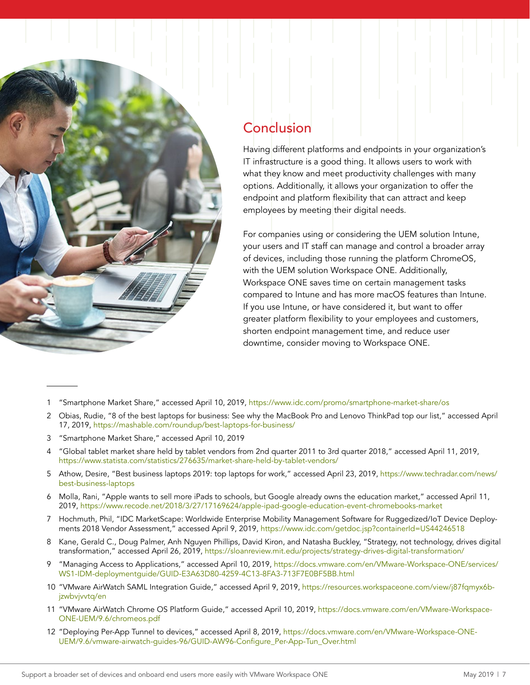

## Conclusion

Having different platforms and endpoints in your organization's IT infrastructure is a good thing. It allows users to work with what they know and meet productivity challenges with many options. Additionally, it allows your organization to offer the endpoint and platform flexibility that can attract and keep employees by meeting their digital needs.

For companies using or considering the UEM solution Intune, your users and IT staff can manage and control a broader array of devices, including those running the platform ChromeOS, with the UEM solution Workspace ONE. Additionally, Workspace ONE saves time on certain management tasks compared to Intune and has more macOS features than Intune. If you use Intune, or have considered it, but want to offer greater platform flexibility to your employees and customers, shorten endpoint management time, and reduce user downtime, consider moving to Workspace ONE.

- <span id="page-6-0"></span>1 "Smartphone Market Share," accessed April 10, 2019, <https://www.idc.com/promo/smartphone-market-share/os>
- <span id="page-6-1"></span>2 Obias, Rudie, "8 of the best laptops for business: See why the MacBook Pro and Lenovo ThinkPad top our list," accessed April 17, 2019, <https://mashable.com/roundup/best-laptops-for-business/>
- <span id="page-6-2"></span>3 "Smartphone Market Share," accessed April 10, 2019
- <span id="page-6-3"></span>4 "Global tablet market share held by tablet vendors from 2nd quarter 2011 to 3rd quarter 2018," accessed April 11, 2019, <https://www.statista.com/statistics/276635/market-share-held-by-tablet-vendors/>
- <span id="page-6-4"></span>5 Athow, Desire, "Best business laptops 2019: top laptops for work," accessed April 23, 2019, [https://www.techradar.com/news/](https://www.techradar.com/news/best-business-laptops) [best-business-laptops](https://www.techradar.com/news/best-business-laptops)
- <span id="page-6-5"></span>6 Molla, Rani, "Apple wants to sell more iPads to schools, but Google already owns the education market," accessed April 11, 2019, <https://www.recode.net/2018/3/27/17169624/apple-ipad-google-education-event-chromebooks-market>
- <span id="page-6-6"></span>7 Hochmuth, Phil, "IDC MarketScape: Worldwide Enterprise Mobility Management Software for Ruggedized/IoT Device Deployments 2018 Vendor Assessment," accessed April 9, 2019,<https://www.idc.com/getdoc.jsp?containerId=US44246518>
- <span id="page-6-7"></span>8 Kane, Gerald C., Doug Palmer, Anh Nguyen Phillips, David Kiron, and Natasha Buckley, "Strategy, not technology, drives digital transformation," accessed April 26, 2019, <https://sloanreview.mit.edu/projects/strategy-drives-digital-transformation/>
- <span id="page-6-8"></span>"Managing Access to Applications," accessed April 10, 2019, [https://docs.vmware.com/en/VMware-Workspace-ONE/services/](https://docs.vmware.com/en/VMware-Workspace-ONE/services/WS1-IDM-deploymentguide/GUID-E3A63D80-4259-) [WS1-IDM-deploymentguide/GUID-E3A63D80-4259-4C13-8FA3-713F7E0BF5BB.html](https://docs.vmware.com/en/VMware-Workspace-ONE/services/WS1-IDM-deploymentguide/GUID-E3A63D80-4259-)
- <span id="page-6-9"></span>10 "VMware AirWatch SAML Integration Guide," accessed April 9, 2019, [https://resources.workspaceone.com/view/j87fqmyx6b](https://resources.workspaceone.com/view/j87fqmyx6bjzwbvjvvtq/en)[jzwbvjvvtq/en](https://resources.workspaceone.com/view/j87fqmyx6bjzwbvjvvtq/en)
- <span id="page-6-10"></span>11 "VMware AirWatch Chrome OS Platform Guide," accessed April 10, 2019, [https://docs.vmware.com/en/VMware-Workspace-](https://docs.vmware.com/en/VMware-Workspace-ONE-UEM/9.6/chromeos.pdf)[ONE-UEM/9.6/chromeos.pdf](https://docs.vmware.com/en/VMware-Workspace-ONE-UEM/9.6/chromeos.pdf)
- <span id="page-6-11"></span>12 "Deploying Per-App Tunnel to devices," accessed April 8, 2019, [https://docs.vmware.com/en/VMware-Workspace-ONE-](https://docs.vmware.com/en/VMware-Workspace-ONE-UEM/9.6/vmware-airwatch-guides-96/GUID-AW96-Configur)[UEM/9.6/vmware-airwatch-guides-96/GUID-AW96-Configure\\_Per-App-Tun\\_Over.html](https://docs.vmware.com/en/VMware-Workspace-ONE-UEM/9.6/vmware-airwatch-guides-96/GUID-AW96-Configur)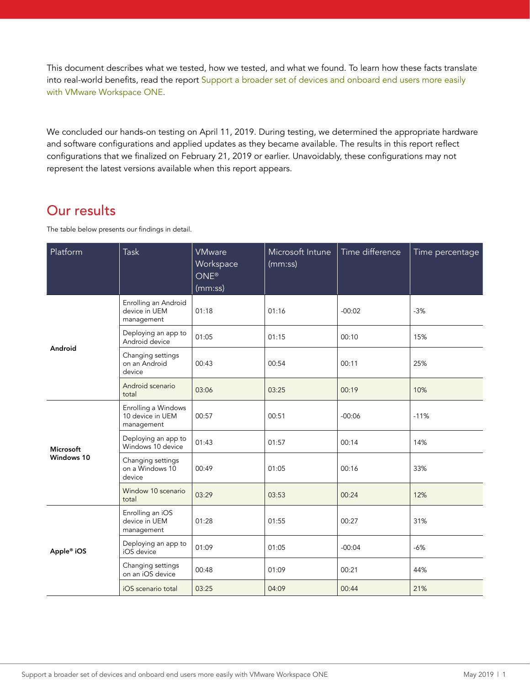This document describes what we tested, how we tested, and what we found. To learn how these facts translate into real-world benefits, read the report Support a broader set of devices and onboard end users more easily with VMware Workspace ONE.

We concluded our hands-on testing on April 11, 2019. During testing, we determined the appropriate hardware and software configurations and applied updates as they became available. The results in this report reflect configurations that we finalized on February 21, 2019 or earlier. Unavoidably, these configurations may not represent the latest versions available when this report appears.

## Our results

The table below presents our findings in detail.

| Platform                | <b>Task</b>                                           | <b>VMware</b><br>Workspace<br>ONE <sup>®</sup><br>(mm:ss) | Microsoft Intune<br>(mm:ss) | Time difference | Time percentage |
|-------------------------|-------------------------------------------------------|-----------------------------------------------------------|-----------------------------|-----------------|-----------------|
|                         | Enrolling an Android<br>device in UEM<br>management   | 01:18                                                     | 01:16                       | $-00:02$        | $-3%$           |
|                         | Deploying an app to<br>Android device                 | 01:05                                                     | 01:15                       | 00:10           | 15%             |
| Android                 | Changing settings<br>on an Android<br>device          | 00:43                                                     | 00:54                       | 00:11           | 25%             |
|                         | Android scenario<br>total                             | 03:06                                                     | 03:25                       | 00:19           | 10%             |
| Microsoft<br>Windows 10 | Enrolling a Windows<br>10 device in UEM<br>management | 00:57                                                     | 00:51                       | $-00:06$        | $-11%$          |
|                         | Deploying an app to<br>Windows 10 device              | 01:43                                                     | 01:57                       | 00:14           | 14%             |
|                         | Changing settings<br>on a Windows 10<br>device        | 00:49                                                     | 01:05                       | 00:16           | 33%             |
|                         | Window 10 scenario<br>total                           | 03:29                                                     | 03:53                       | 00:24           | 12%             |
| Apple® iOS              | Enrolling an iOS<br>device in UEM<br>management       | 01:28                                                     | 01:55                       | 00:27           | 31%             |
|                         | Deploying an app to<br>iOS device                     | 01:09                                                     | 01:05                       | $-00:04$        | $-6%$           |
|                         | Changing settings<br>on an iOS device                 | 00:48                                                     | 01:09                       | 00:21           | 44%             |
|                         | iOS scenario total                                    | 03:25                                                     | 04:09                       | 00:44           | 21%             |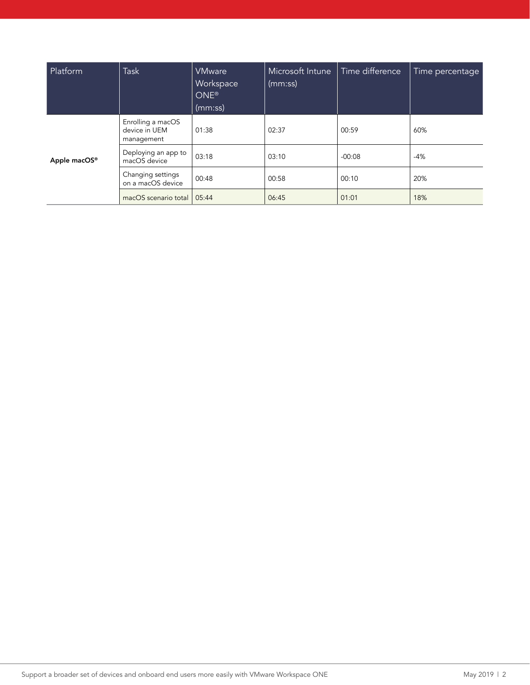| Platform     | Task                                             | <b>VMware</b><br>Workspace<br>ONE <sup>®</sup><br>(mm:ss) | Microsoft Intune<br>(mm:ss) | Time difference | Time percentage |
|--------------|--------------------------------------------------|-----------------------------------------------------------|-----------------------------|-----------------|-----------------|
| Apple macOS® | Enrolling a macOS<br>device in UEM<br>management | 01:38                                                     | 02:37                       | 00:59           | 60%             |
|              | Deploying an app to<br>macOS device              | 03:18                                                     | 03:10                       | $-00:08$        | $-4%$           |
|              | Changing settings<br>on a macOS device           | 00:48                                                     | 00:58                       | 00:10           | 20%             |
|              | macOS scenario total                             | 05:44                                                     | 06:45                       | 01:01           | 18%             |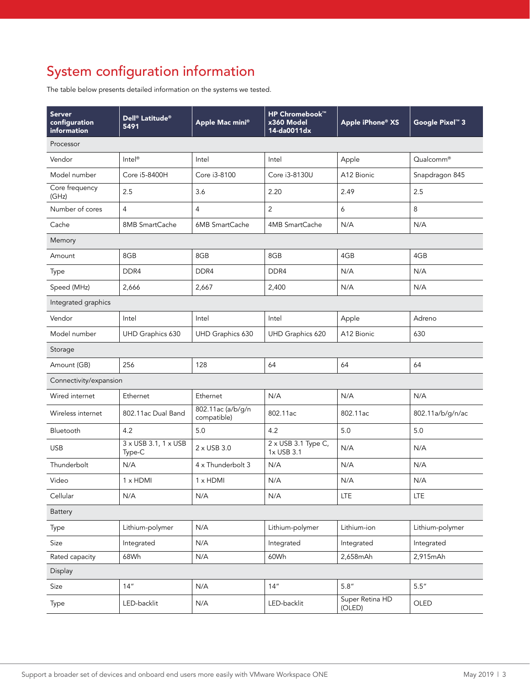# System configuration information

The table below presents detailed information on the systems we tested.

| <b>Server</b><br>configuration<br>information | Dell <sup>®</sup> Latitude <sup>®</sup><br>5491 | Apple Mac mini®                  | <b>HP Chromebook™</b><br>x360 Model<br>14-da0011dx | Apple iPhone® XS          | Google Pixel <sup>™</sup> 3 |  |
|-----------------------------------------------|-------------------------------------------------|----------------------------------|----------------------------------------------------|---------------------------|-----------------------------|--|
| Processor                                     |                                                 |                                  |                                                    |                           |                             |  |
| Vendor                                        | $Intel^{\circledR}$                             | Intel                            | Intel                                              | Apple                     | Qualcomm®                   |  |
| Model number                                  | Core i5-8400H                                   | Core i3-8100                     | Core i3-8130U                                      | A12 Bionic                | Snapdragon 845              |  |
| Core frequency<br>(GHz)                       | 2.5                                             | 3.6                              | 2.20                                               | 2.49                      | 2.5                         |  |
| Number of cores                               | $\overline{4}$                                  | $\overline{4}$                   | $\overline{2}$                                     | 6                         | 8                           |  |
| Cache                                         | 8MB SmartCache                                  | 6MB SmartCache                   | 4MB SmartCache                                     | N/A                       | N/A                         |  |
| Memory                                        |                                                 |                                  |                                                    |                           |                             |  |
| Amount                                        | 8GB                                             | 8GB                              | 8GB                                                | 4GB                       | 4GB                         |  |
| Type                                          | DDR4                                            | DDR <sub>4</sub>                 | DDR <sub>4</sub>                                   | N/A                       | N/A                         |  |
| Speed (MHz)                                   | 2,666                                           | 2,667                            | 2,400                                              | N/A                       | N/A                         |  |
| Integrated graphics                           |                                                 |                                  |                                                    |                           |                             |  |
| Vendor                                        | Intel                                           | Intel                            | Intel                                              | Apple                     | Adreno                      |  |
| Model number                                  | UHD Graphics 630                                | UHD Graphics 630                 | UHD Graphics 620                                   | A12 Bionic                | 630                         |  |
| Storage                                       |                                                 |                                  |                                                    |                           |                             |  |
| Amount (GB)                                   | 256                                             | 128                              | 64                                                 | 64                        | 64                          |  |
| Connectivity/expansion                        |                                                 |                                  |                                                    |                           |                             |  |
| Wired internet                                | Ethernet                                        | Ethernet                         | N/A                                                | N/A                       | N/A                         |  |
| Wireless internet                             | 802.11ac Dual Band                              | 802.11ac (a/b/g/n<br>compatible) | 802.11ac                                           | 802.11ac                  | 802.11a/b/g/n/ac            |  |
| Bluetooth                                     | 4.2                                             | 5.0                              | 4.2                                                | 5.0                       | 5.0                         |  |
| <b>USB</b>                                    | 3 x USB 3.1, 1 x USB<br>Type-C                  | 2 x USB 3.0                      | 2 x USB 3.1 Type C,<br>1x USB 3.1                  | N/A                       | N/A                         |  |
| Thunderbolt                                   | N/A                                             | 4 x Thunderbolt 3                | N/A                                                | N/A                       | N/A                         |  |
| Video                                         | 1 x HDMI                                        | $1 \times$ HDMI                  | N/A                                                | N/A                       | N/A                         |  |
| Cellular                                      | N/A                                             | N/A                              | N/A                                                | <b>LTE</b>                | <b>LTE</b>                  |  |
| Battery                                       |                                                 |                                  |                                                    |                           |                             |  |
| Type                                          | Lithium-polymer                                 | N/A                              | Lithium-polymer                                    | Lithium-ion               | Lithium-polymer             |  |
| Size                                          | Integrated                                      | N/A                              | Integrated                                         | Integrated                | Integrated                  |  |
| Rated capacity                                | 68Wh                                            | N/A                              | 60Wh                                               | 2,658mAh                  | 2,915mAh                    |  |
| Display                                       |                                                 |                                  |                                                    |                           |                             |  |
| Size                                          | 14''                                            | N/A                              | 14''                                               | 5.8''                     | 5.5''                       |  |
| Type                                          | LED-backlit                                     | N/A                              | LED-backlit                                        | Super Retina HD<br>(OLED) | OLED                        |  |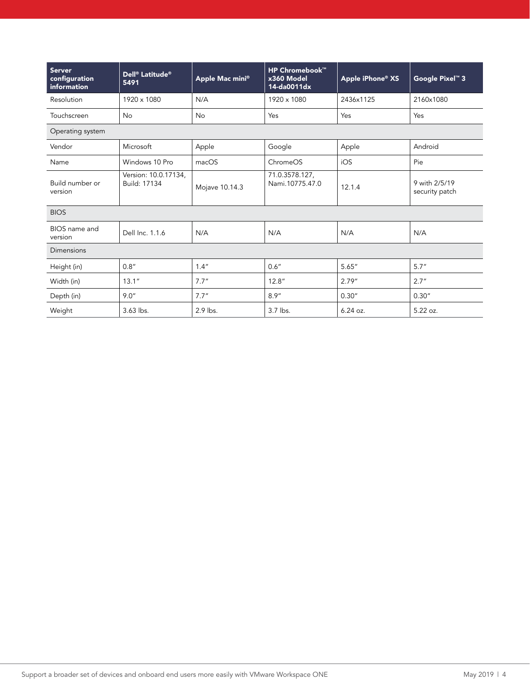| <b>Server</b><br>configuration<br>information | Dell <sup>®</sup> Latitude <sup>®</sup><br>5491 | Apple Mac mini® | <b>HP Chromebook™</b><br>x360 Model<br>14-da0011dx | Apple iPhone <sup>®</sup> XS | Google Pixel <sup>™</sup> 3     |  |
|-----------------------------------------------|-------------------------------------------------|-----------------|----------------------------------------------------|------------------------------|---------------------------------|--|
| Resolution                                    | 1920 x 1080                                     | N/A             | 1920 x 1080                                        | 2436x1125                    | 2160x1080                       |  |
| Touchscreen                                   | <b>No</b>                                       | No              | Yes                                                | Yes                          | Yes                             |  |
| Operating system                              |                                                 |                 |                                                    |                              |                                 |  |
| Vendor                                        | Microsoft                                       | Apple           | Google                                             | Apple                        | Android                         |  |
| Name                                          | Windows 10 Pro                                  | macOS           | ChromeOS                                           | iOS                          | Pie                             |  |
| Build number or<br>version                    | Version: 10.0.17134,<br><b>Build: 17134</b>     | Mojave 10.14.3  | 71.0.3578.127,<br>Nami.10775.47.0                  | 12.1.4                       | 9 with 2/5/19<br>security patch |  |
| <b>BIOS</b>                                   |                                                 |                 |                                                    |                              |                                 |  |
| BIOS name and<br>version                      | Dell Inc. 1.1.6                                 | N/A             | N/A                                                | N/A                          | N/A                             |  |
| Dimensions                                    |                                                 |                 |                                                    |                              |                                 |  |
| Height (in)                                   | 0.8''                                           | 1.4''           | 0.6"                                               | 5.65''                       | 5.7''                           |  |
| Width (in)                                    | 13.1''                                          | 7.7''           | 12.8''                                             | 2.79''                       | 2.7''                           |  |
| Depth (in)                                    | 9.0''                                           | 7.7''           | 8.9''                                              | 0.30''                       | 0.30''                          |  |
| Weight                                        | 3.63 lbs.                                       | $2.9$ lbs.      | 3.7 lbs.                                           | $6.24$ oz.                   | $5.22$ oz.                      |  |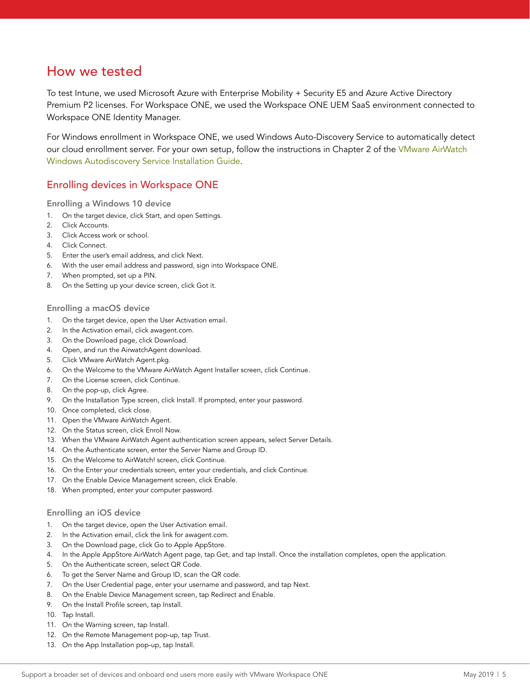## How we tested

To test Intune, we used Microsoft Azure with Enterprise Mobility + Security E5 and Azure Active Directory Premium P2 licenses. For Workspace ONE, we used the Workspace ONE UEM SaaS environment connected to Workspace ONE Identity Manager.

For Windows enrollment in Workspace ONE, we used Windows Auto-Discovery Service to automatically detect our cloud enrollment server. For your own setup, follow the instructions in Chapter 2 of the [VMware AirWatch](https://docs.vmware.com/en/VMware-AirWatch/9.1/VMware%20AirWatch%20Windows%20Autodiscovery%20Service%20Installation%20Guide.pdf)  [Windows Autodiscovery Service Installation Guide.](https://docs.vmware.com/en/VMware-AirWatch/9.1/VMware%20AirWatch%20Windows%20Autodiscovery%20Service%20Installation%20Guide.pdf)

## Enrolling devices in Workspace ONE

Enrolling a Windows 10 device

- 1. On the target device, click Start, and open Settings.
- 2. Click Accounts.
- 3. Click Access work or school.
- 4. Click Connect.
- 5. Enter the user's email address, and click Next.
- 6. With the user email address and password, sign into Workspace ONE.
- 7. When prompted, set up a PIN.
- 8. On the Setting up your device screen, click Got it.

#### Enrolling a macOS device

- 1. On the target device, open the User Activation email.
- 2. In the Activation email, click awagent.com.
- 3. On the Download page, click Download.
- 4. Open, and run the AirwatchAgent download.
- 5. Click VMware AirWatch Agent.pkg.
- 6. On the Welcome to the VMware AirWatch Agent Installer screen, click Continue.
- 7. On the License screen, click Continue.
- 8. On the pop-up, click Agree.
- 9. On the Installation Type screen, click Install. If prompted, enter your password.
- 10. Once completed, click close.
- 11. Open the VMware AirWatch Agent.
- 12. On the Status screen, click Enroll Now.
- 13. When the VMware AirWatch Agent authentication screen appears, select Server Details.
- 14. On the Authenticate screen, enter the Server Name and Group ID.
- 15. On the Welcome to AirWatch! screen, click Continue.
- 16. On the Enter your credentials screen, enter your credentials, and click Continue.
- 17. On the Enable Device Management screen, click Enable.
- 18. When prompted, enter your computer password.

#### Enrolling an iOS device

- 1. On the target device, open the User Activation email.
- 2. In the Activation email, click the link for awagent.com.
- 3. On the Download page, click Go to Apple AppStore.
- 4. In the Apple AppStore AirWatch Agent page, tap Get, and tap Install. Once the installation completes, open the application.
- 5. On the Authenticate screen, select QR Code.
- 6. To get the Server Name and Group ID, scan the QR code.
- 7. On the User Credential page, enter your username and password, and tap Next.
- 8. On the Enable Device Management screen, tap Redirect and Enable.
- 9. On the Install Profile screen, tap Install.
- 10. Tap Install.
- 11. On the Warning screen, tap Install.
- 12. On the Remote Management pop-up, tap Trust.
- 13. On the App Installation pop-up, tap Install.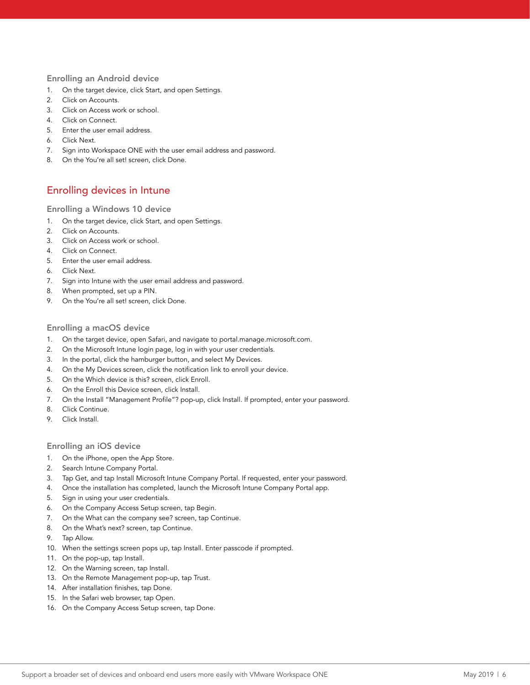#### Enrolling an Android device

- 1. On the target device, click Start, and open Settings.
- 2. Click on Accounts.
- 3. Click on Access work or school.
- 4. Click on Connect.
- 5. Enter the user email address.
- 6. Click Next.
- 7. Sign into Workspace ONE with the user email address and password.
- 8. On the You're all set! screen, click Done.

### Enrolling devices in Intune

#### Enrolling a Windows 10 device

- 1. On the target device, click Start, and open Settings.
- 2. Click on Accounts.
- 3. Click on Access work or school.
- 4. Click on Connect.
- 5. Enter the user email address.
- 6. Click Next.
- 7. Sign into Intune with the user email address and password.
- 8. When prompted, set up a PIN.
- 9. On the You're all set! screen, click Done.

#### Enrolling a macOS device

- 1. On the target device, open Safari, and navigate to portal.manage.microsoft.com.
- 2. On the Microsoft Intune login page, log in with your user credentials.
- 3. In the portal, click the hamburger button, and select My Devices.
- 4. On the My Devices screen, click the notification link to enroll your device.
- 5. On the Which device is this? screen, click Enroll.
- 6. On the Enroll this Device screen, click Install.
- 7. On the Install "Management Profile"? pop-up, click Install. If prompted, enter your password.
- 8. Click Continue.
- 9. Click Install.

#### Enrolling an iOS device

- 1. On the iPhone, open the App Store.
- 2. Search Intune Company Portal.
- 3. Tap Get, and tap Install Microsoft Intune Company Portal. If requested, enter your password.
- 4. Once the installation has completed, launch the Microsoft Intune Company Portal app.
- 5. Sign in using your user credentials.
- 6. On the Company Access Setup screen, tap Begin.
- 7. On the What can the company see? screen, tap Continue.
- 8. On the What's next? screen, tap Continue.
- 9. Tap Allow.
- 10. When the settings screen pops up, tap Install. Enter passcode if prompted.
- 11. On the pop-up, tap Install.
- 12. On the Warning screen, tap Install.
- 13. On the Remote Management pop-up, tap Trust.
- 14. After installation finishes, tap Done.
- 15. In the Safari web browser, tap Open.
- 16. On the Company Access Setup screen, tap Done.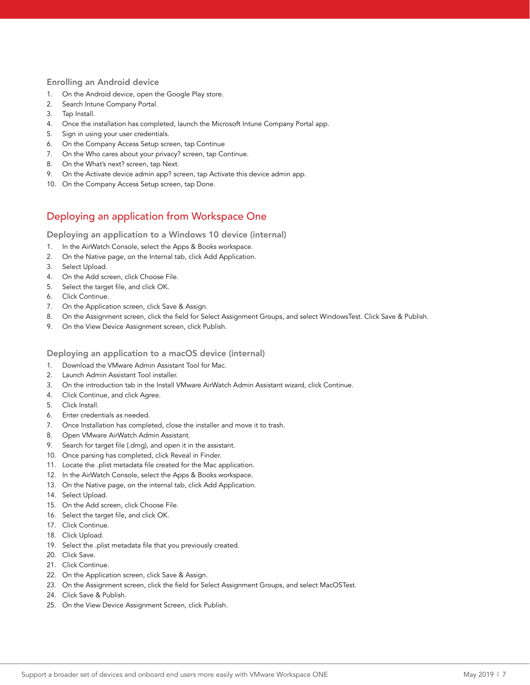#### Enrolling an Android device

- 1. On the Android device, open the Google Play store.
- 2. Search Intune Company Portal.
- 3. Tap Install.
- 4. Once the installation has completed, launch the Microsoft Intune Company Portal app.
- 5. Sign in using your user credentials.
- 6. On the Company Access Setup screen, tap Continue
- 7. On the Who cares about your privacy? screen, tap Continue.
- 8. On the What's next? screen, tap Next.
- 9. On the Activate device admin app? screen, tap Activate this device admin app.
- 10. On the Company Access Setup screen, tap Done.

### Deploying an application from Workspace One

Deploying an application to a Windows 10 device (internal)

- 1. In the AirWatch Console, select the Apps & Books workspace.
- 2. On the Native page, on the Internal tab, click Add Application.
- 3. Select Upload.
- 4. On the Add screen, click Choose File.
- 5. Select the target file, and click OK.
- 6. Click Continue.
- 7. On the Application screen, click Save & Assign.
- 8. On the Assignment screen, click the field for Select Assignment Groups, and select WindowsTest. Click Save & Publish.
- 9. On the View Device Assignment screen, click Publish.

#### Deploying an application to a macOS device (internal)

- 1. Download the VMware Admin Assistant Tool for Mac.
- 2. Launch Admin Assistant Tool installer.
- 3. On the introduction tab in the Install VMware AirWatch Admin Assistant wizard, click Continue.
- 4. Click Continue, and click Agree.
- 5. Click Install.
- 6. Enter credentials as needed.
- 7. Once Installation has completed, close the installer and move it to trash.
- 8. Open VMware AirWatch Admin Assistant.
- 9. Search for target file (.dmg), and open it in the assistant.
- 10. Once parsing has completed, click Reveal in Finder.
- 11. Locate the .plist metadata file created for the Mac application.
- 12. In the AirWatch Console, select the Apps & Books workspace.
- 13. On the Native page, on the internal tab, click Add Application.
- 14. Select Upload.
- 15. On the Add screen, click Choose File.
- 16. Select the target file, and click OK.
- 17. Click Continue.
- 18. Click Upload.
- 19. Select the .plist metadata file that you previously created.
- 20. Click Save.
- 21. Click Continue.
- 22. On the Application screen, click Save & Assign.
- 23. On the Assignment screen, click the field for Select Assignment Groups, and select MacOSTest.
- 24. Click Save & Publish.
- 25. On the View Device Assignment Screen, click Publish.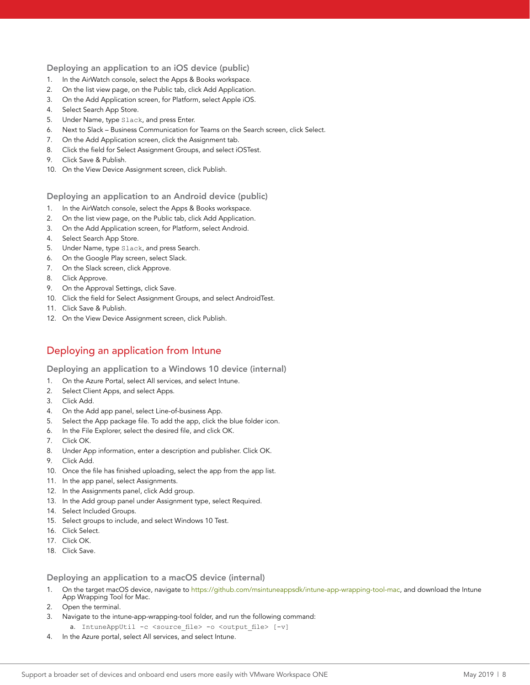#### Deploying an application to an iOS device (public)

- 1. In the AirWatch console, select the Apps & Books workspace.
- 2. On the list view page, on the Public tab, click Add Application.
- 3. On the Add Application screen, for Platform, select Apple iOS.
- 4. Select Search App Store.
- 5. Under Name, type Slack, and press Enter.
- 6. Next to Slack Business Communication for Teams on the Search screen, click Select.
- 7. On the Add Application screen, click the Assignment tab.
- 8. Click the field for Select Assignment Groups, and select iOSTest.
- 9. Click Save & Publish.
- 10. On the View Device Assignment screen, click Publish.

#### Deploying an application to an Android device (public)

- 1. In the AirWatch console, select the Apps & Books workspace.
- 2. On the list view page, on the Public tab, click Add Application.
- 3. On the Add Application screen, for Platform, select Android.
- 4. Select Search App Store.
- 5. Under Name, type Slack, and press Search.
- 6. On the Google Play screen, select Slack.
- 7. On the Slack screen, click Approve.
- 8. Click Approve.
- 9. On the Approval Settings, click Save.
- 10. Click the field for Select Assignment Groups, and select AndroidTest.
- 11. Click Save & Publish.
- 12. On the View Device Assignment screen, click Publish.

### Deploying an application from Intune

Deploying an application to a Windows 10 device (internal)

- 1. On the Azure Portal, select All services, and select Intune.
- 2. Select Client Apps, and select Apps.
- 3. Click Add.
- 4. On the Add app panel, select Line-of-business App.
- 5. Select the App package file. To add the app, click the blue folder icon.
- 6. In the File Explorer, select the desired file, and click OK.
- 7. Click OK.
- 8. Under App information, enter a description and publisher. Click OK.
- 9. Click Add.
- 10. Once the file has finished uploading, select the app from the app list.
- 11. In the app panel, select Assignments.
- 12. In the Assignments panel, click Add group.
- 13. In the Add group panel under Assignment type, select Required.
- 14. Select Included Groups.
- 15. Select groups to include, and select Windows 10 Test.
- 16. Click Select.
- 17. Click OK.
- 18. Click Save.

#### Deploying an application to a macOS device (internal)

- 1. On the target macOS device, navigate to <https://github.com/msintuneappsdk/intune-app-wrapping-tool-mac>, and download the Intune App Wrapping Tool for Mac.
- 2. Open the terminal.
- 3. Navigate to the intune-app-wrapping-tool folder, and run the following command:
- a. IntuneAppUtil -c <source file> -o <output file> [-v]
- 4. In the Azure portal, select All services, and select Intune.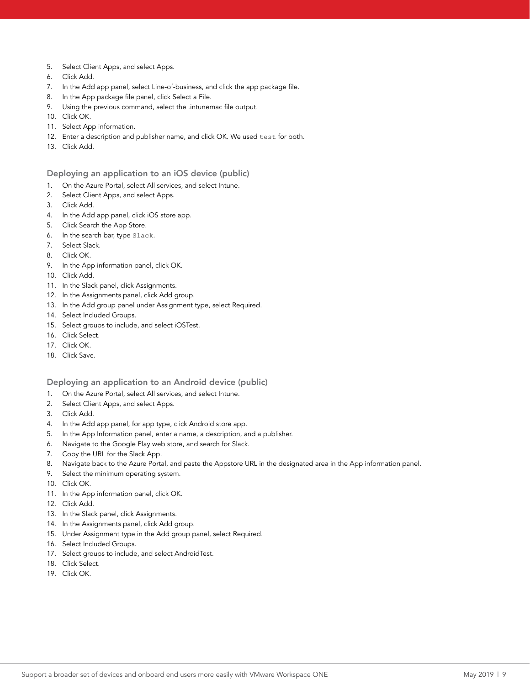- 5. Select Client Apps, and select Apps.
- 6. Click Add.
- 7. In the Add app panel, select Line-of-business, and click the app package file.
- 8. In the App package file panel, click Select a File.
- 9. Using the previous command, select the .intunemac file output.
- 10. Click OK.
- 11. Select App information.
- 12. Enter a description and publisher name, and click OK. We used test for both.
- 13. Click Add.

#### Deploying an application to an iOS device (public)

- 1. On the Azure Portal, select All services, and select Intune.
- 2. Select Client Apps, and select Apps.
- 3. Click Add.
- 4. In the Add app panel, click iOS store app.
- 5. Click Search the App Store.
- 6. In the search bar, type Slack.
- 7. Select Slack.
- 8. Click OK.
- 9. In the App information panel, click OK.
- 10. Click Add.
- 11. In the Slack panel, click Assignments.
- 12. In the Assignments panel, click Add group.
- 13. In the Add group panel under Assignment type, select Required.
- 14. Select Included Groups.
- 15. Select groups to include, and select iOSTest.
- 16. Click Select.
- 17. Click OK.
- 18. Click Save.

#### Deploying an application to an Android device (public)

- 1. On the Azure Portal, select All services, and select Intune.
- 2. Select Client Apps, and select Apps.
- 3. Click Add.
- 4. In the Add app panel, for app type, click Android store app.
- 5. In the App Information panel, enter a name, a description, and a publisher.
- 6. Navigate to the Google Play web store, and search for Slack.
- 7. Copy the URL for the Slack App.
- 8. Navigate back to the Azure Portal, and paste the Appstore URL in the designated area in the App information panel.
- 9. Select the minimum operating system.
- 10. Click OK.
- 11. In the App information panel, click OK.
- 12. Click Add.
- 13. In the Slack panel, click Assignments.
- 14. In the Assignments panel, click Add group.
- 15. Under Assignment type in the Add group panel, select Required.
- 16. Select Included Groups.
- 17. Select groups to include, and select AndroidTest.
- 18. Click Select.
- 19. Click OK.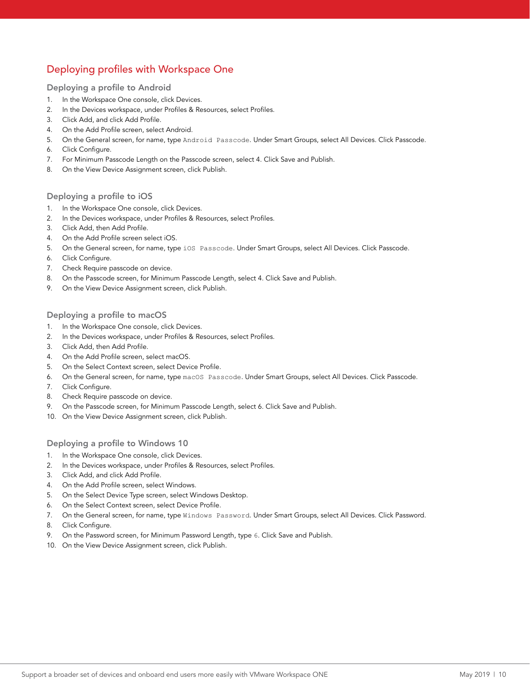## Deploying profiles with Workspace One

#### Deploying a profile to Android

- 1. In the Workspace One console, click Devices.
- 2. In the Devices workspace, under Profiles & Resources, select Profiles.
- 3. Click Add, and click Add Profile.
- 4. On the Add Profile screen, select Android.
- 5. On the General screen, for name, type Android Passcode. Under Smart Groups, select All Devices. Click Passcode.
- 6. Click Configure.
- 7. For Minimum Passcode Length on the Passcode screen, select 4. Click Save and Publish.
- 8. On the View Device Assignment screen, click Publish.

#### Deploying a profile to iOS

- 1. In the Workspace One console, click Devices.
- 2. In the Devices workspace, under Profiles & Resources, select Profiles.
- 3. Click Add, then Add Profile.
- 4. On the Add Profile screen select iOS.
- 5. On the General screen, for name, type iOS Passcode. Under Smart Groups, select All Devices. Click Passcode.
- 6. Click Configure.
- 7. Check Require passcode on device.
- 8. On the Passcode screen, for Minimum Passcode Length, select 4. Click Save and Publish.
- 9. On the View Device Assignment screen, click Publish.

#### Deploying a profile to macOS

- 1. In the Workspace One console, click Devices.
- 2. In the Devices workspace, under Profiles & Resources, select Profiles.
- 3. Click Add, then Add Profile.
- 4. On the Add Profile screen, select macOS.
- 5. On the Select Context screen, select Device Profile.
- 6. On the General screen, for name, type macOS Passcode. Under Smart Groups, select All Devices. Click Passcode.
- 7. Click Configure.
- 8. Check Require passcode on device.
- 9. On the Passcode screen, for Minimum Passcode Length, select 6. Click Save and Publish.
- 10. On the View Device Assignment screen, click Publish.

#### Deploying a profile to Windows 10

- 1. In the Workspace One console, click Devices.
- 2. In the Devices workspace, under Profiles & Resources, select Profiles.
- 3. Click Add, and click Add Profile.
- 4. On the Add Profile screen, select Windows.
- 5. On the Select Device Type screen, select Windows Desktop.
- 6. On the Select Context screen, select Device Profile.
- 7. On the General screen, for name, type Windows Password. Under Smart Groups, select All Devices. Click Password.
- 8. Click Configure.
- 9. On the Password screen, for Minimum Password Length, type 6. Click Save and Publish.
- 10. On the View Device Assignment screen, click Publish.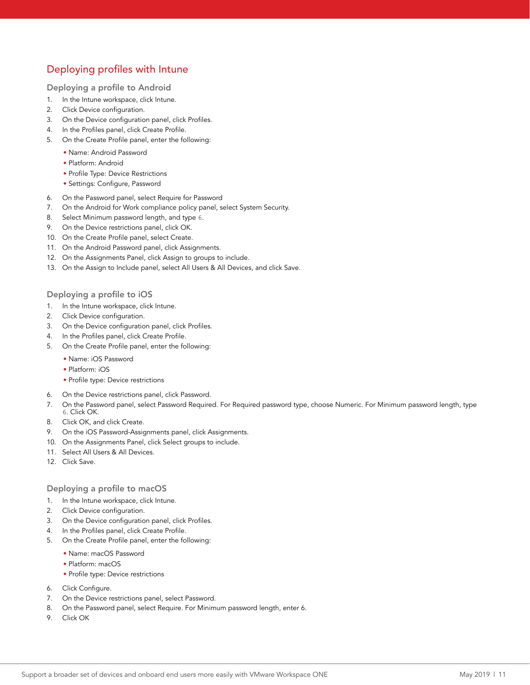## Deploying profiles with Intune

#### Deploying a profile to Android

- 1. In the Intune workspace, click Intune.
- 2. Click Device configuration.
- 3. On the Device configuration panel, click Profiles.
- 4. In the Profiles panel, click Create Profile.
- 5. On the Create Profile panel, enter the following:
	- Name: Android Password
	- Platform: Android
	- Profile Type: Device Restrictions
	- Settings: Configure, Password
- 6. On the Password panel, select Require for Password
- 7. On the Android for Work compliance policy panel, select System Security.
- 8. Select Minimum password length, and type 6.
- 9. On the Device restrictions panel, click OK.
- 10. On the Create Profile panel, select Create.
- 11. On the Android Password panel, click Assignments.
- 12. On the Assignments Panel, click Assign to groups to include.
- 13. On the Assign to Include panel, select All Users & All Devices, and click Save.

#### Deploying a profile to iOS

- 1. In the Intune workspace, click Intune.
- 2. Click Device configuration.
- 3. On the Device configuration panel, click Profiles.
- 4. In the Profiles panel, click Create Profile.
- 5. On the Create Profile panel, enter the following:
	- Name: iOS Password
	- Platform: iOS
	- Profile type: Device restrictions
- 6. On the Device restrictions panel, click Password.
- 7. On the Password panel, select Password Required. For Required password type, choose Numeric. For Minimum password length, type 6. Click OK.
- 8. Click OK, and click Create.
- 9. On the iOS Password-Assignments panel, click Assignments.
- 10. On the Assignments Panel, click Select groups to include.
- 11. Select All Users & All Devices.
- 12. Click Save.

#### Deploying a profile to macOS

- 1. In the Intune workspace, click Intune.
- 2. Click Device configuration.
- 3. On the Device configuration panel, click Profiles.
- 4. In the Profiles panel, click Create Profile.
- 5. On the Create Profile panel, enter the following:
	- Name: macOS Password
	- Platform: macOS
	- Profile type: Device restrictions
- 6. Click Configure.
- 7. On the Device restrictions panel, select Password.
- 8. On the Password panel, select Require. For Minimum password length, enter 6.
- 9. Click OK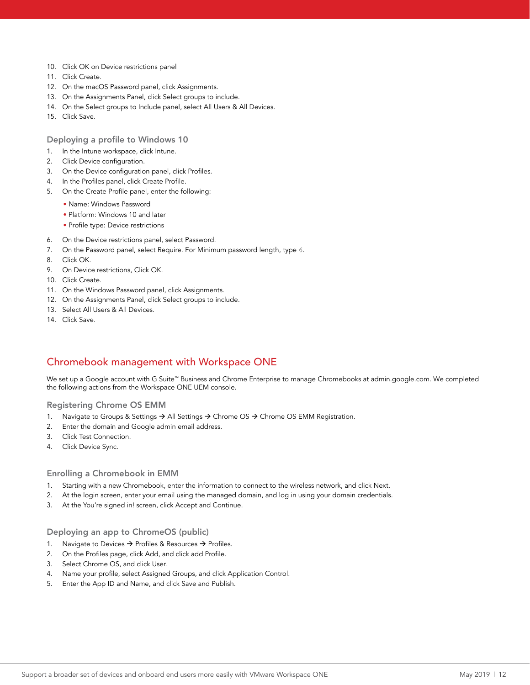- 10. Click OK on Device restrictions panel
- 11. Click Create.
- 12. On the macOS Password panel, click Assignments.
- 13. On the Assignments Panel, click Select groups to include.
- 14. On the Select groups to Include panel, select All Users & All Devices.
- 15. Click Save.

Deploying a profile to Windows 10

- 1. In the Intune workspace, click Intune.
- 2. Click Device configuration.
- 3. On the Device configuration panel, click Profiles.
- 4. In the Profiles panel, click Create Profile.
- 5. On the Create Profile panel, enter the following:
	- Name: Windows Password
	- Platform: Windows 10 and later
	- Profile type: Device restrictions
- 6. On the Device restrictions panel, select Password.
- 7. On the Password panel, select Require. For Minimum password length, type 6.
- 8. Click OK.
- 9. On Device restrictions, Click OK.
- 10. Click Create.
- 11. On the Windows Password panel, click Assignments.
- 12. On the Assignments Panel, click Select groups to include.
- 13. Select All Users & All Devices.
- 14. Click Save.

### Chromebook management with Workspace ONE

We set up a Google account with G Suite™ Business and Chrome Enterprise to manage Chromebooks at admin.google.com. We completed the following actions from the Workspace ONE UEM console.

#### Registering Chrome OS EMM

- 1. Navigate to Groups & Settings  $\rightarrow$  All Settings  $\rightarrow$  Chrome OS  $\rightarrow$  Chrome OS EMM Registration.
- 2. Enter the domain and Google admin email address.
- 3. Click Test Connection.
- 4. Click Device Sync.

#### Enrolling a Chromebook in EMM

- 1. Starting with a new Chromebook, enter the information to connect to the wireless network, and click Next.
- 2. At the login screen, enter your email using the managed domain, and log in using your domain credentials.
- 3. At the You're signed in! screen, click Accept and Continue.

#### Deploying an app to ChromeOS (public)

- 1. Navigate to Devices  $\rightarrow$  Profiles & Resources  $\rightarrow$  Profiles.
- 2. On the Profiles page, click Add, and click add Profile.
- 3. Select Chrome OS, and click User.
- 4. Name your profile, select Assigned Groups, and click Application Control.
- 5. Enter the App ID and Name, and click Save and Publish.